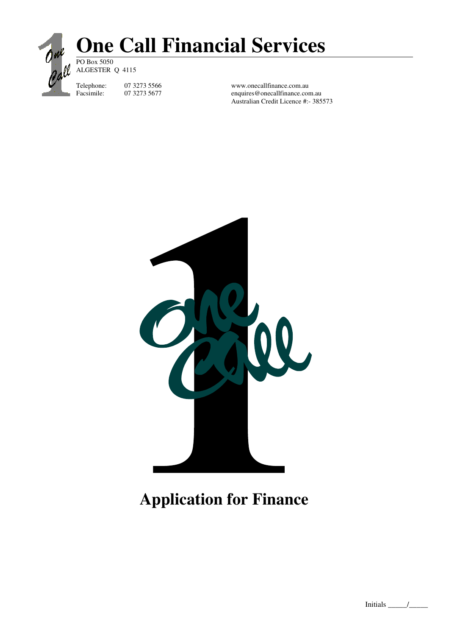

## **One Call Financial Services** PO Box 5050

ALGESTER Q 4115

Telephone: 07 3273 5566 www.onecallfinance.com.au<br>Facsimile: 07 3273 5677 enquires@onecallfinance.com enquires@onecallfinance.com.au Australian Credit Licence #:- 385573



# **Application for Finance**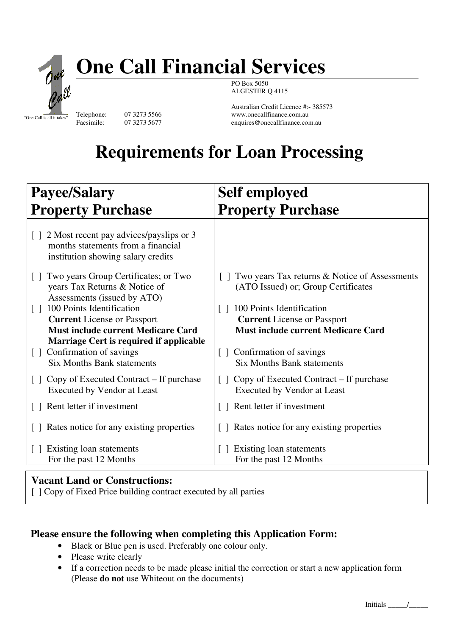

# **One Call Financial Services**

PO Box 5050 ALGESTER Q 4115

Australian Credit Licence #:- 385573 Telephone: 07 3273 5566 www.onecallfinance.com.au<br>Facsimile: 07 3273 5677 enquires@onecallfinance.com enquires@onecallfinance.com.au

# **Requirements for Loan Processing**

| <b>Payee/Salary</b>                                                                                                                                                   | <b>Self employed</b>                                                                                                   |
|-----------------------------------------------------------------------------------------------------------------------------------------------------------------------|------------------------------------------------------------------------------------------------------------------------|
| <b>Property Purchase</b>                                                                                                                                              | <b>Property Purchase</b>                                                                                               |
| [] 2 Most recent pay advices/payslips or 3<br>months statements from a financial<br>institution showing salary credits                                                |                                                                                                                        |
| Two years Group Certificates; or Two<br>years Tax Returns & Notice of<br>Assessments (issued by ATO)                                                                  | Two years Tax returns & Notice of Assessments<br>(ATO Issued) or; Group Certificates                                   |
| 100 Points Identification<br>$\lceil$ 1<br><b>Current</b> License or Passport<br><b>Must include current Medicare Card</b><br>Marriage Cert is required if applicable | 100 Points Identification<br>$\Box$<br><b>Current</b> License or Passport<br><b>Must include current Medicare Card</b> |
| [ ] Confirmation of savings<br><b>Six Months Bank statements</b>                                                                                                      | [ ] Confirmation of savings<br><b>Six Months Bank statements</b>                                                       |
| Copy of Executed Contract – If purchase<br>$\Box$<br><b>Executed by Vendor at Least</b>                                                                               | Copy of Executed Contract – If purchase<br>$\Box$<br><b>Executed by Vendor at Least</b>                                |
| [] Rent letter if investment                                                                                                                                          | [] Rent letter if investment                                                                                           |
| [ ] Rates notice for any existing properties                                                                                                                          | [ ] Rates notice for any existing properties                                                                           |
| [ ] Existing loan statements<br>For the past 12 Months                                                                                                                | Existing loan statements<br>For the past 12 Months                                                                     |

## **Vacant Land or Constructions:**

[  $\Box$ ] Copy of Fixed Price building contract executed by all parties

## **Please ensure the following when completing this Application Form:**

- Black or Blue pen is used. Preferably one colour only.
- Please write clearly
- If a correction needs to be made please initial the correction or start a new application form (Please **do not** use Whiteout on the documents)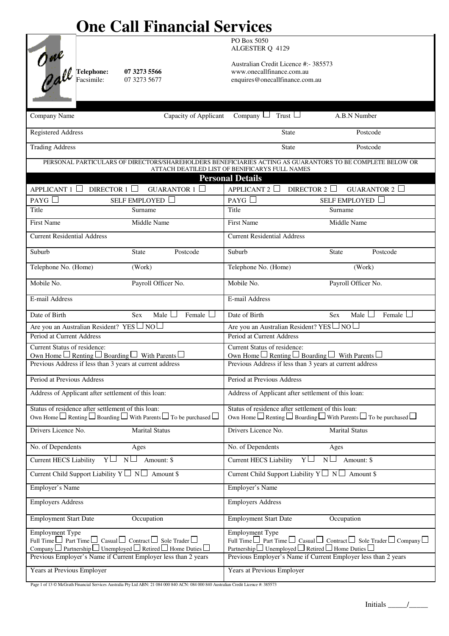# **One Call Financial Services**

**COMPANY DETAILS (company applicants only)** ALGESTER Q 4129 PO Box 5050

Australian Credit Licence #:- 385573 FO **ME**<br> **Telephone:** 07 3273 5566<br>
Telephone: 07 3273 5566<br>
Telephone: 07 3273 5566<br>
O *ME*<br>
Telephone: 07 3273 5566<br>
Telexismile: 07 3273 5677<br>
Pacsimile: 07 3273 5677<br>
Pacsimile: 07 3273 5677 enquires@onecallfinance.com.au

| Capacity of Applicant<br>Company Name                                                                                                           | Company $\Box$ Trust $\Box$<br>A.B.N Number                                                                                                                 |
|-------------------------------------------------------------------------------------------------------------------------------------------------|-------------------------------------------------------------------------------------------------------------------------------------------------------------|
| <b>Registered Address</b>                                                                                                                       | Postcode<br><b>State</b>                                                                                                                                    |
| <b>Trading Address</b>                                                                                                                          | State<br>Postcode                                                                                                                                           |
|                                                                                                                                                 | PERSONAL PARTICULARS OF DIRECTORS/SHAREHOLDERS BENEFICIARIES ACTING AS GUARANTORS TO BE COMPLETE BELOW OR<br>ATTACH DEATILED LIST OF BENIFICARYS FULL NAMES |
|                                                                                                                                                 | <b>Personal Details</b>                                                                                                                                     |
| APPLICANT $1$ DIRECTOR $1$<br>GUARANTOR $1$                                                                                                     | DIRECTOR 2 $\Box$<br>APPLICANT $2$<br>GUARANTOR $2$                                                                                                         |
| PAYG $\Box$<br>SELF EMPLOYED                                                                                                                    | PAYG<br><b>SELF EMPLOYED</b>                                                                                                                                |
| Title<br>Surname                                                                                                                                | Title<br>Surname                                                                                                                                            |
| <b>First Name</b><br>Middle Name                                                                                                                | <b>First Name</b><br>Middle Name                                                                                                                            |
| <b>Current Residential Address</b>                                                                                                              | <b>Current Residential Address</b>                                                                                                                          |
| Postcode<br>Suburb<br><b>State</b>                                                                                                              | State<br>Postcode<br>Suburb                                                                                                                                 |
| Telephone No. (Home)<br>(Work)                                                                                                                  | Telephone No. (Home)<br>(Work)                                                                                                                              |
| Mobile No.<br>Payroll Officer No.                                                                                                               | Mobile No.<br>Payroll Officer No.                                                                                                                           |
| E-mail Address                                                                                                                                  | E-mail Address                                                                                                                                              |
| Date of Birth<br>Male $\Box$<br>Female<br><b>Sex</b>                                                                                            | Date of Birth<br>Female<br><b>Sex</b><br>Male $\Box$                                                                                                        |
| Are you an Australian Resident? YES ∟ NO∟                                                                                                       | Are you an Australian Resident? YES $\Box$ NO $\Box$                                                                                                        |
| Period at Current Address                                                                                                                       | Period at Current Address                                                                                                                                   |
| Current Status of residence:<br>Own Home $\square$ Renting $\square$ Boarding $\square$ With Parents $\square$                                  | Current Status of residence:<br>Own Home $\Box$ Renting $\Box$ Boarding $\Box$ With Parents $\Box$                                                          |
| Previous Address if less than 3 years at current address                                                                                        | Previous Address if less than 3 years at current address                                                                                                    |
| Period at Previous Address                                                                                                                      | Period at Previous Address                                                                                                                                  |
| Address of Applicant after settlement of this loan:                                                                                             | Address of Applicant after settlement of this loan:                                                                                                         |
| Status of residence after settlement of this loan:                                                                                              | Status of residence after settlement of this loan:                                                                                                          |
| Own Home $\Box$ Renting $\Box$ Boarding $\Box$ With Parents $\Box$ To be purchased $\Box$                                                       | Own Home $\Box$ Renting $\Box$ Boarding $\Box$ With Parents $\Box$ To be purchased $\Box$                                                                   |
| Drivers Licence No.<br><b>Marital Status</b>                                                                                                    | Drivers Licence No.<br><b>Marital Status</b>                                                                                                                |
| No. of Dependents<br>Ages                                                                                                                       | No. of Dependents<br>Ages                                                                                                                                   |
| N <sub>1</sub><br><b>Current HECS Liability</b><br>$Y \Box$<br>Amount: \$                                                                       | $N\Box$ Amount: \$<br>$Y \Box$<br><b>Current HECS Liability</b>                                                                                             |
| Current Child Support Liability $Y \Box N \Box$ Amount \$                                                                                       | Current Child Support Liability $Y \Box N \Box$ Amount \$                                                                                                   |
| Employer's Name                                                                                                                                 | Employer's Name                                                                                                                                             |
| <b>Employers Address</b>                                                                                                                        | <b>Employers Address</b>                                                                                                                                    |
| Occupation<br><b>Employment Start Date</b>                                                                                                      | Occupation<br><b>Employment Start Date</b>                                                                                                                  |
| <b>Employment Type</b>                                                                                                                          | Employment Type                                                                                                                                             |
| Full Time $\Box$ Part Time $\Box$ Casual $\Box$ Contract $\Box$ Sole Trader $\Box$                                                              | Full Time $\Box$ Part Time $\Box$ Casual $\Box$ Contract $\Box$ Sole Trader $\Box$ Company $\Box$                                                           |
| $\Box$ Partnership $\Box$ Unemployed $\Box$ Retired $\Box$ Home Duties $\Box$<br>Previous Employer's Name if Current Employer less than 2 years | Partnership $\Box$ Unemployed $\Box$ Retired $\Box$ Home Duties $\Box$<br>Previous Employer's Name if Current Employer less than 2 years                    |
|                                                                                                                                                 |                                                                                                                                                             |
| Years at Previous Employer                                                                                                                      | Years at Previous Employer                                                                                                                                  |

Page 1 of 13 © McGrath Financial Services Australia Pty Ltd ABN: 21 084 000 840 ACN: 084 000 840 Australian Credit Licence #: 385573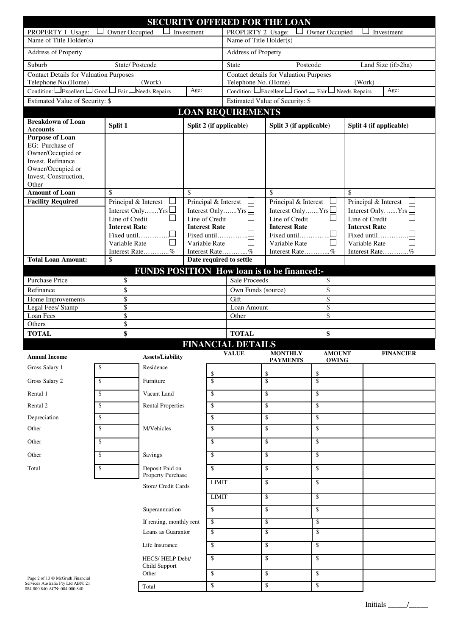| <b>SECURITY OFFERED FOR THE LOAN</b>                                 |                                              |                                      |                      |                                                   |                             |                                                    |                                              |    |                                       |
|----------------------------------------------------------------------|----------------------------------------------|--------------------------------------|----------------------|---------------------------------------------------|-----------------------------|----------------------------------------------------|----------------------------------------------|----|---------------------------------------|
| Owner Occupied<br>Investment<br>PROPERTY 1 Usage:                    |                                              |                                      |                      | PROPERTY 2 Usage:<br>Owner Occupied<br>Investment |                             |                                                    |                                              |    |                                       |
| Name of Title Holder(s)                                              |                                              |                                      |                      | Name of Title Holder(s)                           |                             |                                                    |                                              |    |                                       |
| <b>Address of Property</b>                                           |                                              |                                      |                      | Address of Property                               |                             |                                                    |                                              |    |                                       |
| Suburb                                                               | State/Postcode                               |                                      |                      |                                                   | <b>State</b>                | Postcode                                           |                                              |    | Land Size (if>2ha)                    |
| <b>Contact Details for Valuation Purposes</b><br>Telephone No.(Home) |                                              | (Work)                               |                      |                                                   | Telephone No. (Home)        | <b>Contact details for Valuation Purposes</b>      |                                              |    | (Work)                                |
| Condition: $\Box$ Excellent                                          | $\Box$ Good $\Box$ Fair $\Box$ Needs Repairs |                                      | Age:                 |                                                   | Condition: $\Box$ Excellent |                                                    | $\Box$ Good $\Box$ Fair $\Box$ Needs Repairs |    | Age:                                  |
| <b>Estimated Value of Security: \$</b>                               |                                              |                                      |                      |                                                   |                             | Estimated Value of Security: \$                    |                                              |    |                                       |
|                                                                      |                                              |                                      |                      |                                                   | <b>LOAN REQUIREMENTS</b>    |                                                    |                                              |    |                                       |
| <b>Breakdown of Loan</b><br><b>Accounts</b>                          | Split 1                                      |                                      |                      |                                                   | Split 2 (if applicable)     | Split 3 (if applicable)                            |                                              |    | Split 4 (if applicable)               |
| <b>Purpose of Loan</b>                                               |                                              |                                      |                      |                                                   |                             |                                                    |                                              |    |                                       |
| EG: Purchase of<br>Owner/Occupied or                                 |                                              |                                      |                      |                                                   |                             |                                                    |                                              |    |                                       |
| Invest, Refinance                                                    |                                              |                                      |                      |                                                   |                             |                                                    |                                              |    |                                       |
| Owner/Occupied or<br>Invest, Construction,                           |                                              |                                      |                      |                                                   |                             |                                                    |                                              |    |                                       |
| Other                                                                |                                              |                                      |                      |                                                   |                             |                                                    |                                              |    |                                       |
| <b>Amount of Loan</b>                                                | \$                                           |                                      | \$                   |                                                   |                             | \$                                                 |                                              | \$ |                                       |
| <b>Facility Required</b>                                             | Principal & Interest                         | $\overline{\phantom{a}}$             | Principal & Interest |                                                   |                             | Principal & Interest                               |                                              |    | Principal & Interest                  |
|                                                                      | Line of Credit                               | Interest Only $Yrs$                  | Line of Credit       |                                                   | Interest Only $Yrs$         | Interest Only $Yrs$<br>Line of Credit              |                                              |    | Interest Only $Yrs$<br>Line of Credit |
|                                                                      | <b>Interest Rate</b>                         |                                      | <b>Interest Rate</b> |                                                   |                             | <b>Interest Rate</b>                               |                                              |    | <b>Interest Rate</b>                  |
|                                                                      |                                              | Fixed until                          |                      |                                                   |                             | Fixed until                                        |                                              |    | Fixed until                           |
|                                                                      | Variable Rate                                | Interest Rate%                       | Variable Rate        |                                                   | Interest Rate%              | Variable Rate<br>Interest Rate%                    |                                              |    | Variable Rate<br>Interest Rate        |
| <b>Total Loan Amount:</b>                                            | \$                                           |                                      |                      |                                                   | Date required to settle     |                                                    |                                              |    |                                       |
|                                                                      |                                              |                                      |                      |                                                   |                             | <b>FUNDS POSITION How loan is to be financed:-</b> |                                              |    |                                       |
| Purchase Price                                                       | \$                                           |                                      |                      |                                                   | <b>Sale Proceeds</b>        |                                                    | \$                                           |    |                                       |
| Refinance                                                            | \$                                           |                                      |                      |                                                   | Own Funds (source)          |                                                    | \$                                           |    |                                       |
| Home Improvements                                                    | $\overline{\$}$                              |                                      |                      |                                                   | Gift                        |                                                    | \$                                           |    |                                       |
| $\overline{\$}$<br>Legal Fees/ Stamp<br>$\overline{\$}$<br>Loan Fees |                                              |                                      |                      | Loan Amount<br>Other                              |                             | \$<br>\$                                           |                                              |    |                                       |
| Others                                                               | \$                                           |                                      |                      |                                                   |                             |                                                    |                                              |    |                                       |
| <b>TOTAL</b>                                                         | \$                                           |                                      |                      |                                                   | <b>TOTAL</b>                |                                                    | \$                                           |    |                                       |
|                                                                      |                                              |                                      |                      |                                                   | <b>FINANCIAL DETAILS</b>    |                                                    |                                              |    |                                       |
| <b>Annual Income</b>                                                 |                                              | <b>Assets/Liability</b>              |                      |                                                   | <b>VALUE</b>                | <b>MONTHLY</b><br><b>PAYMENTS</b>                  | <b>AMOUNT</b><br><b>OWING</b>                |    | <b>FINANCIER</b>                      |
| Gross Salary 1                                                       | \$                                           | Residence                            |                      | \$                                                |                             | \$                                                 | \$                                           |    |                                       |
| Gross Salary 2                                                       | \$                                           | Furniture                            |                      | \$                                                |                             | \$                                                 | $\mathbf{\hat{S}}$                           |    |                                       |
| Rental 1                                                             | \$                                           | Vacant Land                          |                      | \$                                                |                             | \$                                                 | \$                                           |    |                                       |
| Rental 2                                                             | \$                                           | <b>Rental Properties</b>             |                      | \$                                                |                             | \$                                                 | \$                                           |    |                                       |
| Depreciation                                                         | \$                                           |                                      |                      | \$                                                |                             | \$                                                 | \$                                           |    |                                       |
| Other                                                                | \$                                           | M/Vehicles                           |                      | \$                                                |                             | \$                                                 | \$                                           |    |                                       |
| Other                                                                | \$                                           |                                      |                      | \$                                                |                             | \$                                                 | \$                                           |    |                                       |
| Other                                                                | \$                                           | Savings                              | \$                   |                                                   |                             | \$                                                 | \$                                           |    |                                       |
| Total                                                                | \$                                           | Deposit Paid on<br>Property Purchase |                      | \$                                                |                             | \$                                                 | \$                                           |    |                                       |
|                                                                      |                                              | Store/ Credit Cards                  |                      | <b>LIMIT</b>                                      |                             | \$                                                 | \$                                           |    |                                       |
|                                                                      |                                              |                                      |                      | <b>LIMIT</b>                                      |                             | \$                                                 | \$                                           |    |                                       |
|                                                                      |                                              | Superannuation                       |                      | \$                                                |                             | \$                                                 | \$                                           |    |                                       |
|                                                                      |                                              | If renting, monthly rent             |                      | \$                                                |                             | \$                                                 | \$                                           |    |                                       |
|                                                                      |                                              | Loans as Guarantor                   |                      | \$                                                |                             | \$                                                 | \$                                           |    |                                       |
|                                                                      |                                              | Life Insurance                       |                      | \$                                                |                             | \$                                                 | \$                                           |    |                                       |
|                                                                      |                                              | HECS/HELP Debt/<br>Child Support     |                      | \$                                                |                             | \$                                                 | \$                                           |    |                                       |
| Page 2 of 13 © McGrath Financial                                     |                                              | Other                                |                      | \$                                                |                             | \$                                                 | \$                                           |    |                                       |
| Services Australia Pty Ltd ABN: 21<br>084 000 840 ACN: 084 000 840   |                                              | Total                                |                      | \$                                                |                             | \$                                                 | \$                                           |    |                                       |

Initials  $\frac{\qquad \qquad }{\qquad \qquad }$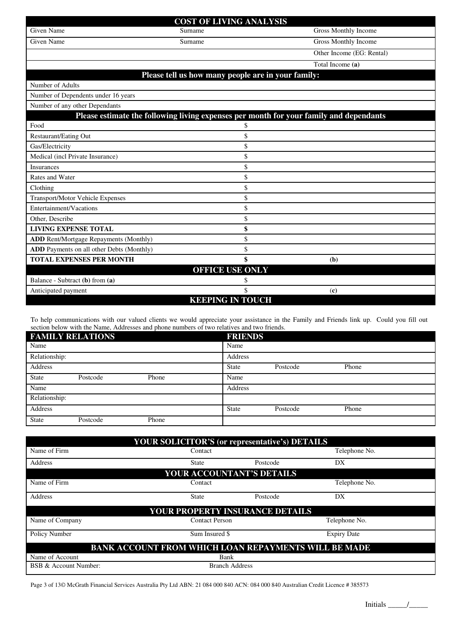## **COST OF LIVING ANALYSIS** Given Name Gross Monthly Income Surname Gross Monthly Income Given Name Gross Monthly Income Surname Gross Monthly Income Other Income (EG: Rental)

|                                                                                        |                        | Other income (EG: Rental) |
|----------------------------------------------------------------------------------------|------------------------|---------------------------|
|                                                                                        |                        | Total Income (a)          |
| Please tell us how many people are in your family:                                     |                        |                           |
| Number of Adults                                                                       |                        |                           |
| Number of Dependents under 16 years                                                    |                        |                           |
| Number of any other Dependants                                                         |                        |                           |
| Please estimate the following living expenses per month for your family and dependants |                        |                           |
| Food                                                                                   | \$                     |                           |
| <b>Restaurant/Eating Out</b>                                                           |                        |                           |
| Gas/Electricity                                                                        | \$                     |                           |
| Medical (incl Private Insurance)                                                       | \$                     |                           |
| <b>Insurances</b>                                                                      | \$                     |                           |
| Rates and Water                                                                        | \$                     |                           |
| Clothing                                                                               | \$                     |                           |
| Transport/Motor Vehicle Expenses                                                       | \$                     |                           |
| Entertainment/Vacations                                                                | \$                     |                           |
| Other, Describe                                                                        | \$                     |                           |
| <b>LIVING EXPENSE TOTAL</b>                                                            | \$                     |                           |
| <b>ADD</b> Rent/Mortgage Repayments (Monthly)                                          | \$                     |                           |
| <b>ADD</b> Payments on all other Debts (Monthly)                                       |                        |                           |
| <b>TOTAL EXPENSES PER MONTH</b>                                                        |                        | (b)                       |
|                                                                                        | <b>OFFICE USE ONLY</b> |                           |
| Balance - Subtract (b) from (a)                                                        | S                      |                           |
| Anticipated payment                                                                    | \$                     | (c)                       |

## **KEEPING IN TOUCH**

To help communications with our valued clients we would appreciate your assistance in the Family and Friends link up. Could you fill out section below with the Name, Addresses and phone numbers of two relatives and two friends.

|               | <b>FAMILY RELATIONS</b> |       | <b>FRIENDS</b> |          |       |
|---------------|-------------------------|-------|----------------|----------|-------|
| Name          |                         |       | Name           |          |       |
| Relationship: |                         |       | Address        |          |       |
| Address       |                         |       | <b>State</b>   | Postcode | Phone |
| <b>State</b>  | Postcode                | Phone | Name           |          |       |
| Name          |                         |       | Address        |          |       |
| Relationship: |                         |       |                |          |       |
| Address       |                         |       | <b>State</b>   | Postcode | Phone |
| <b>State</b>  | Postcode                | Phone |                |          |       |

|                                                             |                           | <b>YOUR SOLICITOR'S (or representative's) DETAILS</b> |                    |  |
|-------------------------------------------------------------|---------------------------|-------------------------------------------------------|--------------------|--|
| Name of Firm                                                | Contact                   |                                                       | Telephone No.      |  |
| Address                                                     | <b>State</b>              | Postcode                                              | DX                 |  |
|                                                             | YOUR ACCOUNTANT'S DETAILS |                                                       |                    |  |
| Name of Firm                                                | Contact                   |                                                       | Telephone No.      |  |
| Address                                                     | <b>State</b>              | Postcode                                              | DX                 |  |
|                                                             |                           | <b>YOUR PROPERTY INSURANCE DETAILS</b>                |                    |  |
| Name of Company                                             | <b>Contact Person</b>     |                                                       | Telephone No.      |  |
| Policy Number                                               | Sum Insured \$            |                                                       | <b>Expiry Date</b> |  |
| <b>BANK ACCOUNT FROM WHICH LOAN REPAYMENTS WILL BE MADE</b> |                           |                                                       |                    |  |
| Name of Account                                             | Bank                      |                                                       |                    |  |
| BSB & Account Number:                                       | <b>Branch Address</b>     |                                                       |                    |  |

Page 3 of 13© McGrath Financial Services Australia Pty Ltd ABN: 21 084 000 840 ACN: 084 000 840 Australian Credit Licence # 385573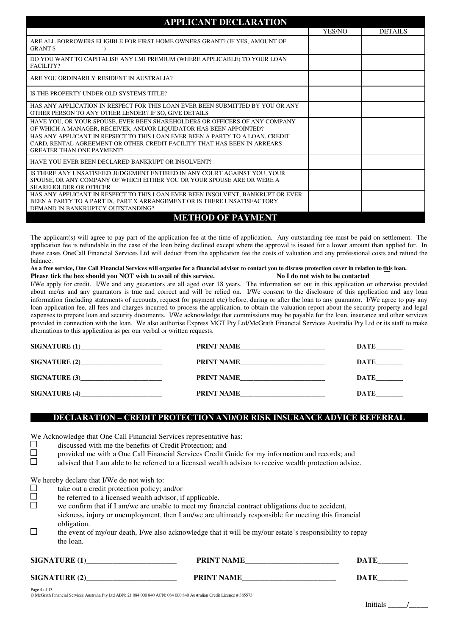| <b>APPLICANT DECLARATION</b>                                                                                                                                                                     |        |                |
|--------------------------------------------------------------------------------------------------------------------------------------------------------------------------------------------------|--------|----------------|
|                                                                                                                                                                                                  | YES/NO | <b>DETAILS</b> |
| ARE ALL BORROWERS ELIGIBLE FOR FIRST HOME OWNERS GRANT? (IF YES, AMOUNT OF<br><b>GRANT \$</b>                                                                                                    |        |                |
| DO YOU WANT TO CAPITALISE ANY LMI PREMIUM (WHERE APPLICABLE) TO YOUR LOAN<br>FACILITY?                                                                                                           |        |                |
| ARE YOU ORDINARILY RESIDENT IN AUSTRALIA?                                                                                                                                                        |        |                |
| IS THE PROPERTY UNDER OLD SYSTEMS TITLE?                                                                                                                                                         |        |                |
| HAS ANY APPLICATION IN RESPECT FOR THIS LOAN EVER BEEN SUBMITTED BY YOU OR ANY<br>OTHER PERSON TO ANY OTHER LENDER? IF SO, GIVE DETAILS                                                          |        |                |
| HAVE YOU, OR YOUR SPOUSE, EVER BEEN SHAREHOLDERS OR OFFICERS OF ANY COMPANY<br>OF WHICH A MANAGER, RECEIVER, AND/OR LIQUIDATOR HAS BEEN APPOINTED?                                               |        |                |
| HAS ANY APPLICANT IN REPSECT TO THIS LOAN EVER BEEN A PARTY TO A LOAN, CREDIT<br>CARD, RENTAL AGREEMENT OR OTHER CREDIT FACILITY THAT HAS BEEN IN ARREARS<br><b>GREATER THAN ONE PAYMENT?</b>    |        |                |
| HAVE YOU EVER BEEN DECLARED BANKRUPT OR INSOLVENT?                                                                                                                                               |        |                |
| IS THERE ANY UNSATISFIED JUDGEMENT ENTERED IN ANY COURT AGAINST YOU, YOUR<br>SPOUSE, OR ANY COMPANY OF WHICH EITHER YOU OR YOUR SPOUSE ARE OR WERE A<br><b>SHAREHOLDER OR OFFICER</b>            |        |                |
| HAS ANY APPLICANT IN RESPECT TO THIS LOAN EVER BEEN INSOLVENT, BANKRUPT OR EVER<br>BEEN A PARTY TO A PART IX, PART X ARRANGEMENT OR IS THERE UNSATISFACTORY<br>DEMAND IN BANKRUPTCY OUTSTANDING? |        |                |
| <b>METHOD OF PAYMENT</b>                                                                                                                                                                         |        |                |

The applicant(s) will agree to pay part of the application fee at the time of application. Any outstanding fee must be paid on settlement. The application fee is refundable in the case of the loan being declined except where the approval is issued for a lower amount than applied for. In these cases OneCall Financial Services Ltd will deduct from the application fee the costs of valuation and any professional costs and refund the balance.

**As a free service, One Call Financial Services will organise for a financial advisor to contact you to discuss protection cover in relation to this loan.**

**Please tick the box should you NOT wish to avail of this service. No I do not wish to be contacted**  $\Box$ I/We apply for credit. I/We and any guarantors are all aged over 18 years. The information set out in this application or otherwise provided about me/us and any guarantors is true and correct and will be relied on. I/We consent to the disclosure of this application and any loan information (including statements of accounts, request for payment etc) before, during or after the loan to any guarantor. I/We agree to pay any loan application fee, all fees and charges incurred to process the application, to obtain the valuation report about the security property and legal expenses to prepare loan and security documents. I/We acknowledge that commissions may be payable for the loan, insurance and other services provided in connection with the loan. We also authorise Express MGT Pty Ltd/McGrath Financial Services Australia Pty Ltd or its staff to make alternations to this application as per our verbal or written requests.

| <b>SIGNATURE (1)____________________________</b>                        | PRINT NAME        | DATE        |
|-------------------------------------------------------------------------|-------------------|-------------|
|                                                                         | PRINT NAME        | <b>DATE</b> |
| <b>SIGNATURE (3)</b><br><u> 1990 - Johann John Stone, mars et al. (</u> | <b>PRINT NAME</b> | DATE        |
|                                                                         | PRINT NAME        | DATE        |

## **DECLARATION – CREDIT PROTECTION AND/OR RISK INSURANCE ADVICE REFERRAL**

We Acknowledge that One Call Financial Services representative has:<br> $\Box$  discussed with me the benefits of Credit Protection: and

discussed with me the benefits of Credit Protection; and<br>provided me with a One Call Financial Services Credit C

provided me with a One Call Financial Services Credit Guide for my information and records; and

 $\Box$  advised that I am able to be referred to a licensed wealth advisor to receive wealth protection advice.

We hereby declare that I/We do not wish to:<br>take out a credit protection policy:

take out a credit protection policy; and/or  $\Box$  be referred to a licensed wealth advisor if

 $\Box$  be referred to a licensed wealth advisor, if applicable.<br> $\Box$  we confirm that if I am/we are unable to meet my fina

we confirm that if I am/we are unable to meet my financial contract obligations due to accident,

sickness, injury or unemployment, then I am/we are ultimately responsible for meeting this financial obligation.

 $\Box$  the event of my/our death, I/we also acknowledge that it will be my/our estate's responsibility to repay the loan.

## SIGNATURE (1) THE PRINT NAME TO PRINT SERVER THE SERVER OF THE SERVER OF THE SERVER OF THE SERVER OF THE SERVER OF THE SERVER OF THE SERVER OF THE SERVER OF THE SERVER OF THE SERVER OF THE SERVER OF THE SERVER OF THE SERVE

# SIGNATURE (2) **PRINT NAME DATE**

Page 4 of 13 © McGrath Financial Services Australia Pty Ltd ABN: 21 084 000 840 ACN: 084 000 840 Australian Credit Licence # 385573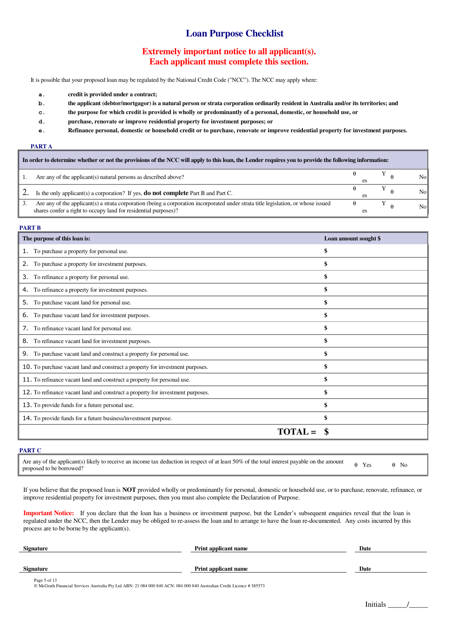## **Loan Purpose Checklist**

## **Extremely important notice to all applicant(s). Each applicant must complete this section.**

It is possible that your proposed loan may be regulated by the National Credit Code ("NCC"). The NCC may apply where:

- **a. credit is provided under a contract;**
- **b. the applicant (debtor/mortgagor) is a natural person or strata corporation ordinarily resident in Australia and/or its territories; and**
- **c. the purpose for which credit is provided is wholly or predominantly of a personal, domestic, or household use, or**
- **d. purchase, renovate or improve residential property for investment purposes; or**
- **e. Refinance personal, domestic or household credit or to purchase, renovate or improve residential property for investment purposes.**

### **PART A**

| In order to determine whether or not the provisions of the NCC will apply to this loan, the Lender requires you to provide the following information:                                                 |  |  |  |                 |
|-------------------------------------------------------------------------------------------------------------------------------------------------------------------------------------------------------|--|--|--|-----------------|
| Are any of the applicant(s) natural persons as described above?                                                                                                                                       |  |  |  | No <sub>b</sub> |
| Is the only applicant (s) a corporation? If yes, <b>do not complete</b> Part B and Part C.                                                                                                            |  |  |  | No              |
| Are any of the applicant(s) a strata corporation (being a corporation incorporated under strata title legislation, or whose issued<br>shares confer a right to occupy land for residential purposes)? |  |  |  | N <sub>o</sub>  |

## **PART B**

| The purpose of this loan is:                                                   | Loan amount sought \$ |
|--------------------------------------------------------------------------------|-----------------------|
| To purchase a property for personal use.<br>1.                                 | \$                    |
| To purchase a property for investment purposes.<br>2.                          |                       |
| To refinance a property for personal use.<br>3.                                | \$                    |
| To refinance a property for investment purposes.<br>4.                         | \$                    |
| 5. To purchase vacant land for personal use.                                   |                       |
| To purchase vacant land for investment purposes.<br>6.                         | \$                    |
| 7. To refinance vacant land for personal use.                                  | \$                    |
| 8. To refinance vacant land for investment purposes.                           | \$                    |
| To purchase vacant land and construct a property for personal use.<br>9.       | \$                    |
| 10. To purchase vacant land and construct a property for investment purposes.  | \$                    |
| 11. To refinance vacant land and construct a property for personal use.        | \$                    |
| 12. To refinance vacant land and construct a property for investment purposes. | \$                    |
| 13. To provide funds for a future personal use.                                | \$                    |
| 14. To provide funds for a future business/investment purpose.                 | \$                    |
|                                                                                |                       |

### **PART C**

Are any of the applicant(s) likely to receive an income tax deduction in respect of at least 50% of the total interest payable on the amount  $\theta$  Yes  $\theta$  No

If you believe that the proposed loan is **NOT** provided wholly or predominantly for personal, domestic or household use, or to purchase, renovate, refinance, or improve residential property for investment purposes, then you must also complete the Declaration of Purpose.

**Important Notice:** If you declare that the loan has a business or investment purpose, but the Lender's subsequent enquiries reveal that the loan is regulated under the NCC, then the Lender may be obliged to re-assess the loan and to arrange to have the loan re-documented. Any costs incurred by this process are to be borne by the applicant(s).

| <b>Signature</b>                                                                                                                      | <b>Print applicant name</b> | Date |
|---------------------------------------------------------------------------------------------------------------------------------------|-----------------------------|------|
|                                                                                                                                       |                             |      |
| <b>Signature</b>                                                                                                                      | <b>Print applicant name</b> | Date |
| Page 5 of 13<br>© McGrath Financial Services Australia Pty Ltd ABN: 21 084 000 840 ACN: 084 000 840 Australian Credit Licence #385573 |                             |      |

© McGrath Financial Services Australia Pty Ltd ABN: 21 084 000 840 ACN: 084 000 840 Australian Credit Licence # 385573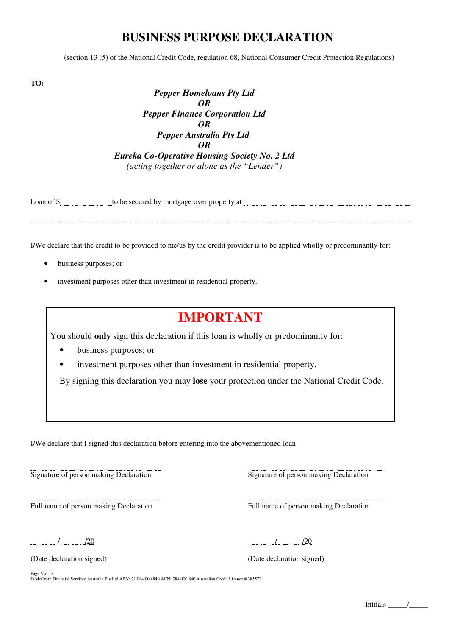## **BUSINESS PURPOSE DECLARATION**

(section 13 (5) of the National Credit Code, regulation 68, National Consumer Credit Protection Regulations)

**TO:**

l,

*Pepper Homeloans Pty Ltd OR Pepper Finance Corporation Ltd OR Pepper Australia Pty Ltd OR Eureka Co-Operative Housing Society No. 2 Ltd (acting together or alone as the "Lender")*

| ∟oan o† | be secured.<br>at<br>$\cdot$ mortgage .<br>tΛ<br>nv<br>property<br>. OVE<br>ιυ |
|---------|--------------------------------------------------------------------------------|
|         |                                                                                |

I/We declare that the credit to be provided to me/us by the credit provider is to be applied wholly or predominantly for:

- business purposes; or
- investment purposes other than investment in residential property.

## **IMPORTANT**

You should **only** sign this declaration if this loan is wholly or predominantly for:

- business purposes; or
- investment purposes other than investment in residential property.

By signing this declaration you may **lose** your protection under the National Credit Code.

I/We declare that I signed this declaration before entering into the abovementioned loan

l, Signature of person making Declaration Signature of person making Declaration Signature of person making Declaration

l,

Full name of person making Declaration Full name of person making Declaration

/ /20 / /20

(Date declaration signed) (Date declaration signed)

Page 6 of 13 © McGrath Financial Services Australia Pty Ltd ABN: 21 084 000 840 ACN: 084 000 840 Australian Credit Licence # 385573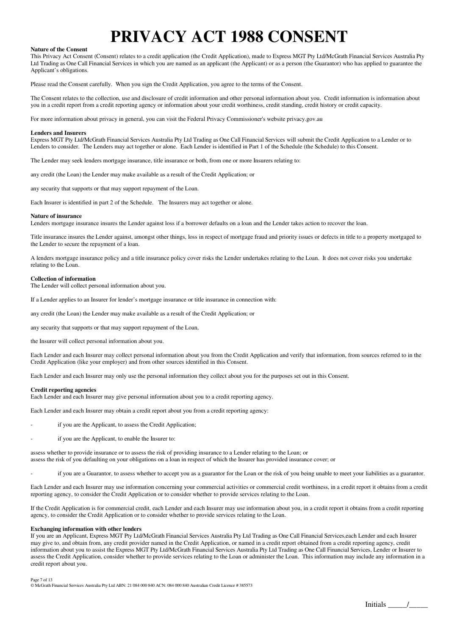# **PRIVACY ACT 1988 CONSENT**

#### **Nature of the Consent**

This Privacy Act Consent (Consent) relates to a credit application (the Credit Application), made to Express MGT Pty Ltd/McGrath Financial Services Australia Pty Ltd Trading as One Call Financial Services in which you are named as an applicant (the Applicant) or as a person (the Guarantor) who has applied to guarantee the Applicant's obligations.

Please read the Consent carefully. When you sign the Credit Application, you agree to the terms of the Consent.

The Consent relates to the collection, use and disclosure of credit information and other personal information about you. Credit information is information about you in a credit report from a credit reporting agency or information about your credit worthiness, credit standing, credit history or credit capacity.

For more information about privacy in general, you can visit the Federal Privacy Commissioner's website privacy.gov.au

#### **Lenders and Insurers**

Express MGT Pty Ltd/McGrath Financial Services Australia Pty Ltd Trading as One Call Financial Services will submit the Credit Application to a Lender or to Lenders to consider. The Lenders may act together or alone. Each Lender is identified in Part 1 of the Schedule (the Schedule) to this Consent.

The Lender may seek lenders mortgage insurance, title insurance or both, from one or more Insurers relating to:

any credit (the Loan) the Lender may make available as a result of the Credit Application; or

any security that supports or that may support repayment of the Loan.

Each Insurer is identified in part 2 of the Schedule. The Insurers may act together or alone.

#### **Nature of insurance**

Lenders mortgage insurance insures the Lender against loss if a borrower defaults on a loan and the Lender takes action to recover the loan.

Title insurance insures the Lender against, amongst other things, loss in respect of mortgage fraud and priority issues or defects in title to a property mortgaged to the Lender to secure the repayment of a loan.

A lenders mortgage insurance policy and a title insurance policy cover risks the Lender undertakes relating to the Loan. It does not cover risks you undertake relating to the Loan.

#### **Collection of information**

The Lender will collect personal information about you.

If a Lender applies to an Insurer for lender's mortgage insurance or title insurance in connection with:

any credit (the Loan) the Lender may make available as a result of the Credit Application; or

any security that supports or that may support repayment of the Loan,

the Insurer will collect personal information about you.

Each Lender and each Insurer may collect personal information about you from the Credit Application and verify that information, from sources referred to in the Credit Application (like your employer) and from other sources identified in this Consent.

Each Lender and each Insurer may only use the personal information they collect about you for the purposes set out in this Consent.

#### **Credit reporting agencies**

Each Lender and each Insurer may give personal information about you to a credit reporting agency.

Each Lender and each Insurer may obtain a credit report about you from a credit reporting agency:

- if you are the Applicant, to assess the Credit Application;
- if you are the Applicant, to enable the Insurer to:

assess whether to provide insurance or to assess the risk of providing insurance to a Lender relating to the Loan; or assess the risk of you defaulting on your obligations on a loan in respect of which the Insurer has provided insurance cover; or

- if you are a Guarantor, to assess whether to accept you as a guarantor for the Loan or the risk of you being unable to meet your liabilities as a guarantor.

Each Lender and each Insurer may use information concerning your commercial activities or commercial credit worthiness, in a credit report it obtains from a credit reporting agency, to consider the Credit Application or to consider whether to provide services relating to the Loan.

If the Credit Application is for commercial credit, each Lender and each Insurer may use information about you, in a credit report it obtains from a credit reporting agency, to consider the Credit Application or to consider whether to provide services relating to the Loan.

#### **Exchanging information with other lenders**

If you are an Applicant, Express MGT Pty Ltd/McGrath Financial Services Australia Pty Ltd Trading as One Call Financial Services,each Lender and each Insurer may give to, and obtain from, any credit provider named in the Credit Application, or named in a credit report obtained from a credit reporting agency, credit information about you to assist the Express MGT Pty Ltd/McGrath Financial Services Australia Pty Ltd Trading as One Call Financial Services, Lender or Insurer to assess the Credit Application, consider whether to provide services relating to the Loan or administer the Loan. This information may include any information in a credit report about you.

Page 7 of 13 © McGrath Financial Services Australia Pty Ltd ABN: 21 084 000 840 ACN: 084 000 840 Australian Credit Licence # 385573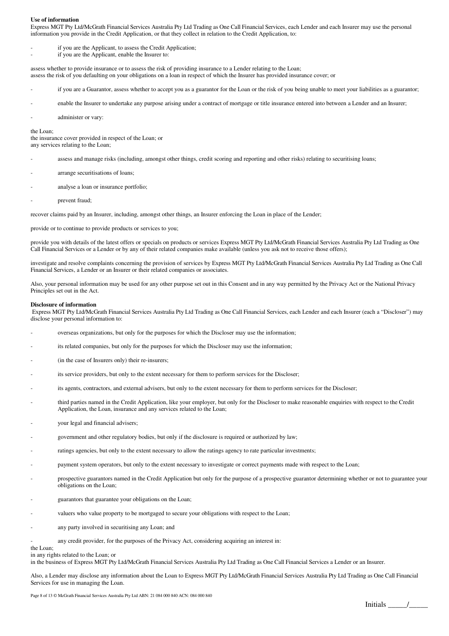#### **Use of information**

Express MGT Pty Ltd/McGrath Financial Services Australia Pty Ltd Trading as One Call Financial Services, each Lender and each Insurer may use the personal information you provide in the Credit Application, or that they collect in relation to the Credit Application, to:

- if you are the Applicant, to assess the Credit Application;
- if you are the Applicant, enable the Insurer to:

assess whether to provide insurance or to assess the risk of providing insurance to a Lender relating to the Loan; assess the risk of you defaulting on your obligations on a loan in respect of which the Insurer has provided insurance cover; or

- if you are a Guarantor, assess whether to accept you as a guarantor for the Loan or the risk of you being unable to meet your liabilities as a guarantor;
- enable the Insurer to undertake any purpose arising under a contract of mortgage or title insurance entered into between a Lender and an Insurer;
- administer or vary:

the Loan;

the insurance cover provided in respect of the Loan; or any services relating to the Loan;

- assess and manage risks (including, amongst other things, credit scoring and reporting and other risks) relating to securitising loans;
- arrange securitisations of loans;
- analyse a loan or insurance portfolio;
- prevent fraud;

recover claims paid by an Insurer, including, amongst other things, an Insurer enforcing the Loan in place of the Lender;

provide or to continue to provide products or services to you;

provide you with details of the latest offers or specials on products or services Express MGT Pty Ltd/McGrath Financial Services Australia Pty Ltd Trading as One Call Financial Services or a Lender or by any of their related companies make available (unless you ask not to receive those offers);

investigate and resolve complaints concerning the provision of services by Express MGT Pty Ltd/McGrath Financial Services Australia Pty Ltd Trading as One Call Financial Services, a Lender or an Insurer or their related companies or associates.

Also, your personal information may be used for any other purpose set out in this Consent and in any way permitted by the Privacy Act or the National Privacy Principles set out in the Act.

#### **Disclosure of information**

 Express MGT Pty Ltd/McGrath Financial Services Australia Pty Ltd Trading as One Call Financial Services, each Lender and each Insurer (each a "Discloser") may disclose your personal information to:

- overseas organizations, but only for the purposes for which the Discloser may use the information;
- its related companies, but only for the purposes for which the Discloser may use the information;
- (in the case of Insurers only) their re-insurers;
- its service providers, but only to the extent necessary for them to perform services for the Discloser;
- its agents, contractors, and external advisers, but only to the extent necessary for them to perform services for the Discloser;
- third parties named in the Credit Application, like your employer, but only for the Discloser to make reasonable enquiries with respect to the Credit Application, the Loan, insurance and any services related to the Loan;
- your legal and financial advisers;
- government and other regulatory bodies, but only if the disclosure is required or authorized by law;
- ratings agencies, but only to the extent necessary to allow the ratings agency to rate particular investments;
- payment system operators, but only to the extent necessary to investigate or correct payments made with respect to the Loan;
- prospective guarantors named in the Credit Application but only for the purpose of a prospective guarantor determining whether or not to guarantee your obligations on the Loan;
- guarantors that guarantee your obligations on the Loan;
- valuers who value property to be mortgaged to secure your obligations with respect to the Loan;
- any party involved in securitising any Loan; and
	- any credit provider, for the purposes of the Privacy Act, considering acquiring an interest in:

the Loan;

in any rights related to the Loan; or

in the business of Express MGT Pty Ltd/McGrath Financial Services Australia Pty Ltd Trading as One Call Financial Services a Lender or an Insurer.

Also, a Lender may disclose any information about the Loan to Express MGT Pty Ltd/McGrath Financial Services Australia Pty Ltd Trading as One Call Financial Services for use in managing the Loan.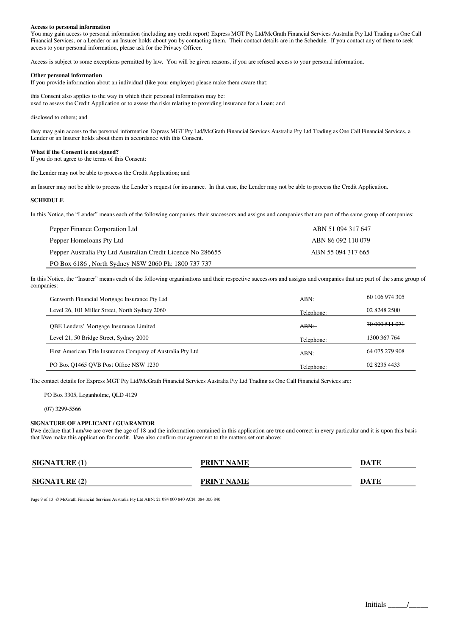#### **Access to personal information**

You may gain access to personal information (including any credit report) Express MGT Pty Ltd/McGrath Financial Services Australia Pty Ltd Trading as One Call Financial Services, or a Lender or an Insurer holds about you by contacting them. Their contact details are in the Schedule. If you contact any of them to seek access to your personal information, please ask for the Privacy Officer.

Access is subject to some exceptions permitted by law. You will be given reasons, if you are refused access to your personal information.

#### **Other personal information**

If you provide information about an individual (like your employer) please make them aware that:

this Consent also applies to the way in which their personal information may be: used to assess the Credit Application or to assess the risks relating to providing insurance for a Loan; and

disclosed to others: and

they may gain access to the personal information Express MGT Pty Ltd/McGrath Financial Services Australia Pty Ltd Trading as One Call Financial Services, a Lender or an Insurer holds about them in accordance with this Consent.

#### **What if the Consent is not signed?**

If you do not agree to the terms of this Consent:

the Lender may not be able to process the Credit Application; and

an Insurer may not be able to process the Lender's request for insurance. In that case, the Lender may not be able to process the Credit Application.

#### **SCHEDULE**

In this Notice, the "Lender" means each of the following companies, their successors and assigns and companies that are part of the same group of companies:

| Pepper Finance Corporation Ltd                               | ABN 51 094 317 647 |
|--------------------------------------------------------------|--------------------|
| Pepper Homeloans Pty Ltd                                     | ABN 86 092 110 079 |
| Pepper Australia Pty Ltd Australian Credit Licence No 286655 | ABN 55 094 317 665 |
| PO Box 6186, North Sydney NSW 2060 Ph: 1800 737 737          |                    |

In this Notice, the "Insurer" means each of the following organisations and their respective successors and assigns and companies that are part of the same group of companies:

| Genworth Financial Mortgage Insurance Pty Ltd               | ABN:       | 60 106 974 305 |
|-------------------------------------------------------------|------------|----------------|
| Level 26, 101 Miller Street, North Sydney 2060              | Telephone: | 02 8248 2500   |
| <b>OBE Lenders' Mortgage Insurance Limited</b>              | ABN:       | 70 000 511 071 |
| Level 21, 50 Bridge Street, Sydney 2000                     | Telephone: | 1300 367 764   |
| First American Title Insurance Company of Australia Pty Ltd | ABN:       | 64 075 279 908 |
| PO Box 01465 OVB Post Office NSW 1230                       | Telephone: | 02 8235 4433   |

The contact details for Express MGT Pty Ltd/McGrath Financial Services Australia Pty Ltd Trading as One Call Financial Services are:

PO Box 3305, Loganholme, QLD 4129

(07) 3299-5566

#### **SIGNATURE OF APPLICANT / GUARANTOR**

I/we declare that I am/we are over the age of 18 and the information contained in this application are true and correct in every particular and it is upon this basis that I/we make this application for credit. I/we also confirm our agreement to the matters set out above:

| <b>SIGNATURE (1)</b> | <b>PRINT NAME</b> | DATE |
|----------------------|-------------------|------|
|                      |                   |      |
| <b>SIGNATURE (2)</b> | <b>PRINT NAME</b> | DATE |

Page 9 of 13 © McGrath Financial Services Australia Pty Ltd ABN: 21 084 000 840 ACN: 084 000 840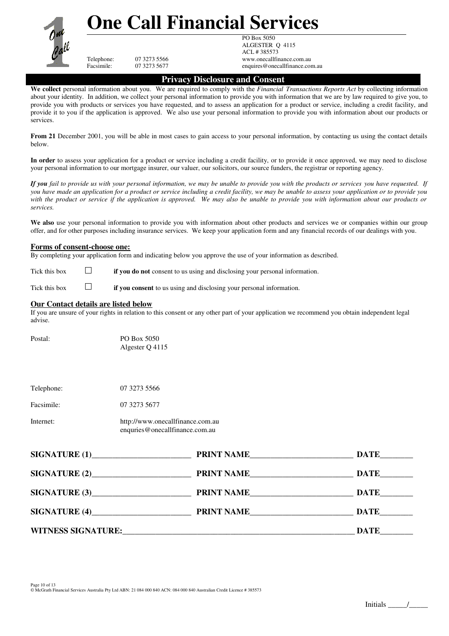

# **One Call Financial Services**

PO Box 5050 ALGESTER Q 4115 ACL # 385573 Telephone: 07 3273 5566 www.onecallfinance.com.au<br>Facsimile: 07 3273 5677 enquires@onecallfinance.com enquires@onecallfinance.com.au

### **Privacy Disclosure and Consent**

**We collect** personal information about you. We are required to comply with the *Financial Transactions Reports Act* by collecting information about your identity*.* In addition, we collect your personal information to provide you with information that we are by law required to give you, to provide you with products or services you have requested, and to assess an application for a product or service, including a credit facility, and provide it to you if the application is approved. We also use your personal information to provide you with information about our products or services.

**From 21** December 2001, you will be able in most cases to gain access to your personal information, by contacting us using the contact details below.

**In order** to assess your application for a product or service including a credit facility, or to provide it once approved, we may need to disclose your personal information to our mortgage insurer, our valuer, our solicitors, our source funders, the registrar or reporting agency.

*If you fail to provide us with your personal information, we may be unable to provide you with the products or services you have requested. If you have made an application for a product or service including a credit facility, we may be unable to assess your application or to provide you with the product or service if the application is approved. We may also be unable to provide you with information about our products or services.*

We also use your personal information to provide you with information about other products and services we or companies within our group offer, and for other purposes including insurance services. We keep your application form and any financial records of our dealings with you.

### **Forms of consent-choose one:**

By completing your application form and indicating below you approve the use of your information as described.

Tick this box **if you do not** consent to us using and disclosing your personal information.

Tick this box **if you consent** to us using and disclosing your personal information.

### **Our Contact details are listed below**

If you are unsure of your rights in relation to this consent or any other part of your application we recommend you obtain independent legal advise.

| Postal: | PO Box 5050     |
|---------|-----------------|
|         | Algester O 4115 |

Telephone: 07 3273 5566

Facsimile: 07 3273 5677

| Internet: | http://www.onecallfinance.com.au |  |
|-----------|----------------------------------|--|
|           | enquries@onecallfinance.com.au   |  |

| SIGNATURE(1)              | <b>PRINT NAME</b> | DATE        |
|---------------------------|-------------------|-------------|
|                           | PRINT NAME        | DATE        |
| SIGNATURE (3)             | <b>PRINT NAME</b> | <b>DATE</b> |
| SIGNATURE(4)              | <b>PRINT NAME</b> | DATE        |
| <b>WITNESS SIGNATURE:</b> |                   | DATE        |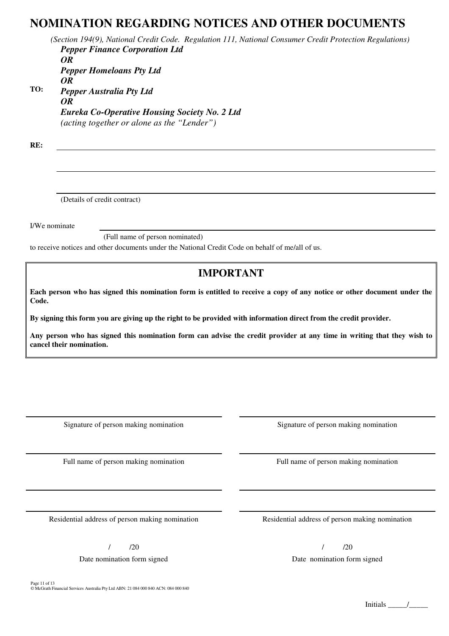## **NOMINATION REGARDING NOTICES AND OTHER DOCUMENTS**

*(Section 194(9), National Credit Code. Regulation 111, National Consumer Credit Protection Regulations)* **TO:** *Pepper Finance Corporation Ltd OR Pepper Homeloans Pty Ltd OR Pepper Australia Pty Ltd OR Eureka Co-Operative Housing Society No. 2 Ltd (acting together or alone as the "Lender")*

**RE:**

(Details of credit contract)

I/We nominate

(Full name of person nominated)

to receive notices and other documents under the National Credit Code on behalf of me/all of us.

## **IMPORTANT**

**Each person who has signed this nomination form is entitled to receive a copy of any notice or other document under the Code.** 

**By signing this form you are giving up the right to be provided with information direct from the credit provider.**

**Any person who has signed this nomination form can advise the credit provider at any time in writing that they wish to cancel their nomination.**

Signature of person making nomination Signature of person making nomination

Residential address of person making nomination Residential address of person making nomination

 $/$  /20  $/$  /20

Page 11 of 13 © McGrath Financial Services Australia Pty Ltd ABN: 21 084 000 840 ACN: 084 000 840

Full name of person making nomination Full name of person making nomination

Date nomination form signed Date nomination form signed Date nomination form signed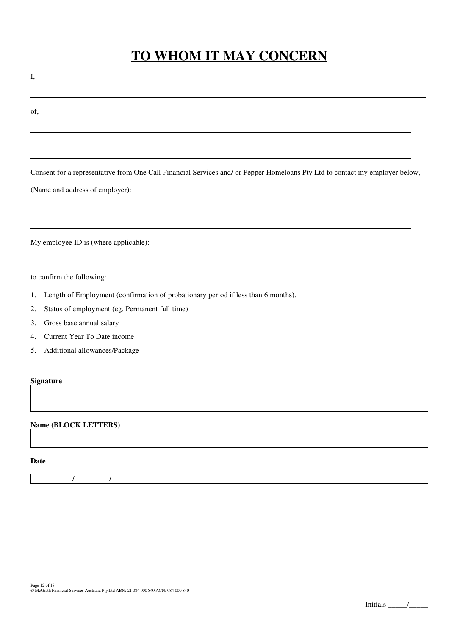# **TO WHOM IT MAY CONCERN**

I,

l

of,

l

l

l

l

l

Consent for a representative from One Call Financial Services and/ or Pepper Homeloans Pty Ltd to contact my employer below,

(Name and address of employer):

My employee ID is (where applicable):

to confirm the following:

- 1. Length of Employment (confirmation of probationary period if less than 6 months).
- 2. Status of employment (eg. Permanent full time)
- 3. Gross base annual salary
- 4. Current Year To Date income
- 5. Additional allowances/Package

### **Signature**

### **Name (BLOCK LETTERS)**

**Date** 

/ /